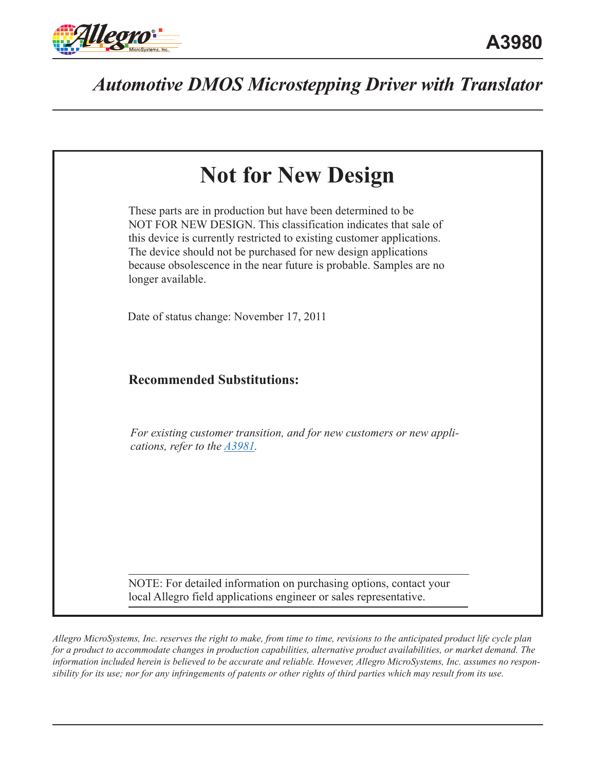



*Allegro MicroSystems, Inc. reserves the right to make, from time to time, revisions to the anticipated product life cycle plan for a product to accommodate changes in production capabilities, alternative product availabilities, or market demand. The information included herein is believed to be accurate and reliable. However, Allegro MicroSystems, Inc. assumes no responsibility for its use; nor for any infringements of patents or other rights of third parties which may result from its use.*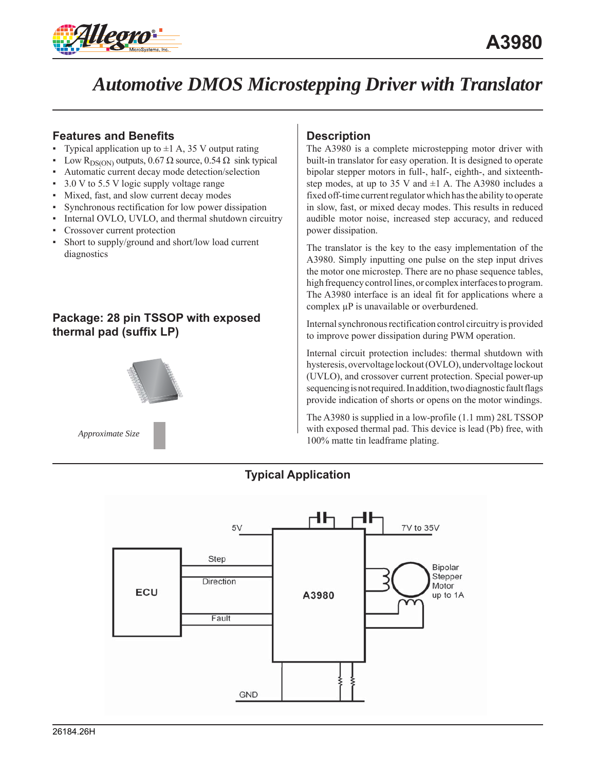

### **Features and Benefits**

- Typical application up to  $\pm 1$  A, 35 V output rating
- Low R<sub>DS(ON)</sub> outputs, 0.67 Ω source, 0.54 Ω sink typical
- Automatic current decay mode detection/selection
- 3.0 V to 5.5 V logic supply voltage range
- Mixed, fast, and slow current decay modes
- Synchronous rectification for low power dissipation
- Internal OVLO, UVLO, and thermal shutdown circuitry
- Crossover current protection
- Short to supply/ground and short/low load current diagnostics

### **Package: 28 pin TSSOP with exposed thermal pad (suffix LP)**



### **Description**

The A3980 is a complete microstepping motor driver with built-in translator for easy operation. It is designed to operate bipolar stepper motors in full-, half-, eighth-, and sixteenthstep modes, at up to 35 V and  $\pm$ 1 A. The A3980 includes a fixed off-time current regulator which has the ability to operate in slow, fast, or mixed decay modes. This results in reduced audible motor noise, increased step accuracy, and reduced power dissipation.

The translator is the key to the easy implementation of the A3980. Simply inputting one pulse on the step input drives the motor one microstep. There are no phase sequence tables, high frequency control lines, or complex interfaces to program. The A3980 interface is an ideal fit for applications where a complex μP is unavailable or overburdened.

Internal synchronous rectification control circuitry is provided to improve power dissipation during PWM operation.

Internal circuit protection includes: thermal shutdown with hysteresis, overvoltage lockout (OVLO), undervoltage lockout (UVLO), and crossover current protection. Special power-up sequencing is not required. In addition, two diagnostic fault flags provide indication of shorts or opens on the motor windings.

The A3980 is supplied in a low-profile (1.1 mm) 28L TSSOP with exposed thermal pad. This device is lead (Pb) free, with 100% matte tin leadframe plating.



**Typical Application**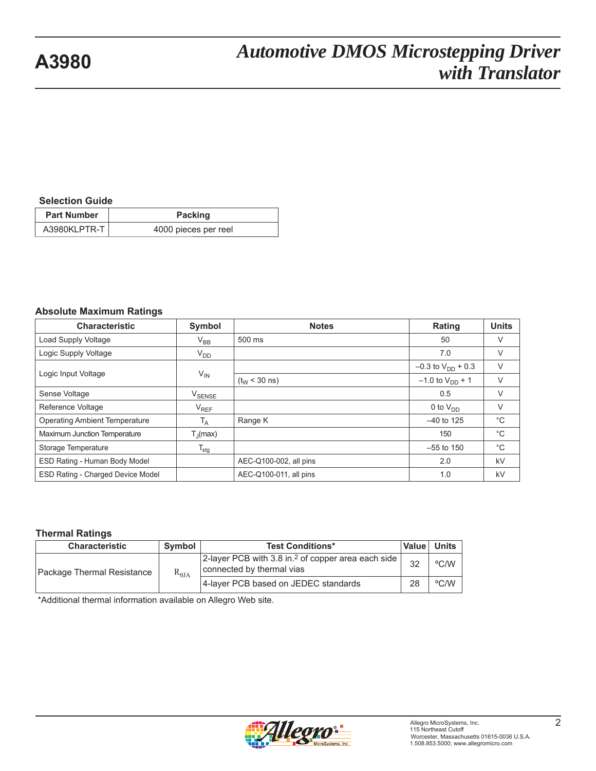#### **Selection Guide**

| <b>Part Number</b> | Packing              |
|--------------------|----------------------|
| A3980KLPTR-T       | 4000 pieces per reel |

#### **Absolute Maximum Ratings**

| <b>Characteristic</b>                    | Symbol                        | <b>Notes</b>           | Rating                   | <b>Units</b> |
|------------------------------------------|-------------------------------|------------------------|--------------------------|--------------|
| Load Supply Voltage                      | $V_{BB}$                      | 500 ms                 | 50                       | $\vee$       |
| Logic Supply Voltage                     | $V_{DD}$                      |                        | 7.0                      | $\vee$       |
|                                          |                               |                        | $-0.3$ to $V_{DD}$ + 0.3 | V            |
| Logic Input Voltage                      | $V_{IN}$                      | $(t_{W}$ < 30 ns)      | $-1.0$ to $V_{DD}$ + 1   | $\vee$       |
| Sense Voltage                            | $\mathsf{V}_{\mathsf{SENSE}}$ |                        | 0.5                      | $\vee$       |
| Reference Voltage                        | V <sub>REF</sub>              |                        | 0 to $V_{DD}$            | V            |
| <b>Operating Ambient Temperature</b>     | T <sub>A</sub>                | Range K                | $-40$ to 125             | $^{\circ}$ C |
| Maximum Junction Temperature             | $T_{\parallel}$ (max)         |                        | 150                      | $^{\circ}$ C |
| Storage Temperature                      | $T_{\text{stg}}$              |                        | $-55$ to 150             | $^{\circ}$ C |
| ESD Rating - Human Body Model            |                               | AEC-Q100-002, all pins | 2.0                      | kV           |
| <b>ESD Rating - Charged Device Model</b> |                               | AEC-Q100-011, all pins | 1.0                      | kV           |

#### **Thermal Ratings**

| <b>Characteristic</b>      | Symbol          | <b>Test Conditions*</b>                                                                         | Value | <b>Units</b> |
|----------------------------|-----------------|-------------------------------------------------------------------------------------------------|-------|--------------|
| Package Thermal Resistance | $R_{\theta JA}$ | 2-layer PCB with 3.8 in. <sup>2</sup> of copper area each side $ $<br>connected by thermal vias | 32    | °C/W         |
|                            |                 | 4-layer PCB based on JEDEC standards                                                            | 28    | °C/W         |

\*Additional thermal information available on Allegro Web site.

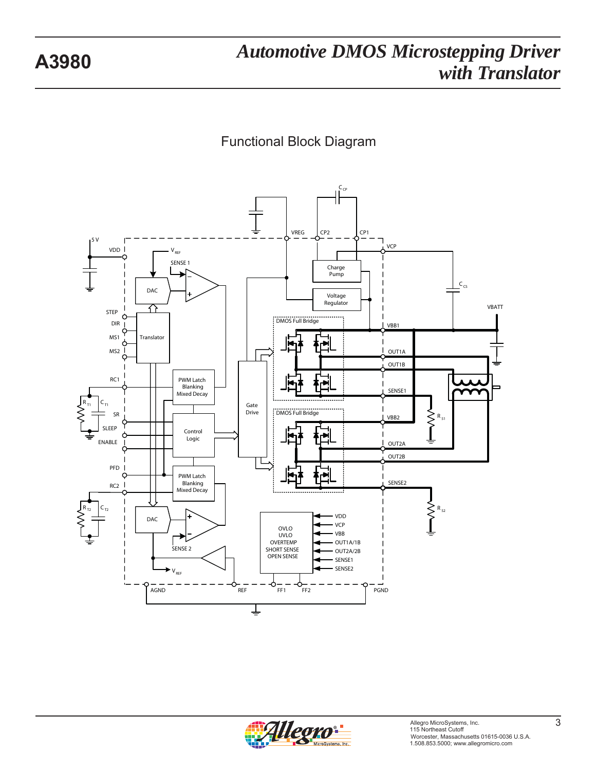

Functional Block Diagram

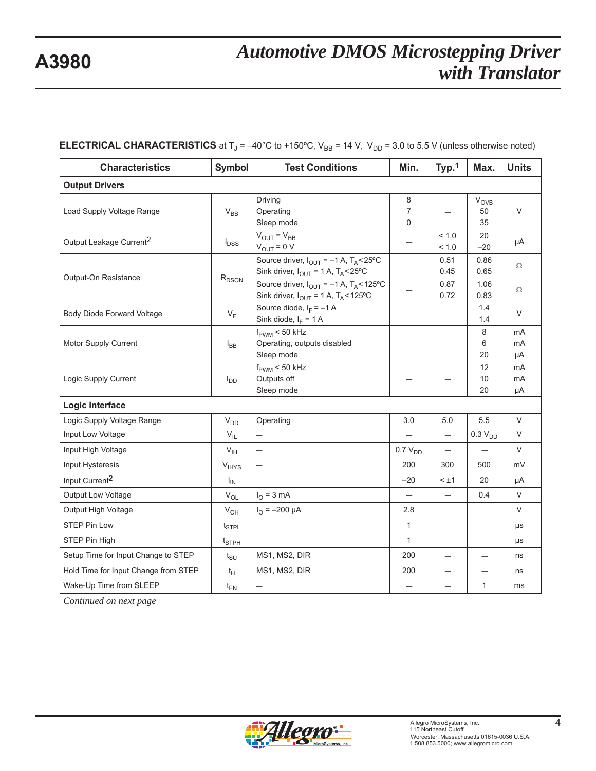| <b>Characteristics</b>               | <b>Symbol</b>                 | <b>Test Conditions</b>                                                                                                       | Min.                     | Typ.1                    | Max.                  | <b>Units</b>   |
|--------------------------------------|-------------------------------|------------------------------------------------------------------------------------------------------------------------------|--------------------------|--------------------------|-----------------------|----------------|
| <b>Output Drivers</b>                |                               |                                                                                                                              |                          |                          |                       |                |
| Load Supply Voltage Range            | $V_{BB}$                      | Driving<br>Operating<br>Sleep mode                                                                                           | 8<br>$\overline{7}$<br>0 |                          | $V_{OVB}$<br>50<br>35 | V              |
| Output Leakage Current <sup>2</sup>  | $I_{DSS}$                     | $V_{OUT} = V_{BB}$<br>$V_{OUT} = 0 V$                                                                                        |                          | < 1.0<br>< 1.0           | 20<br>$-20$           | μA             |
| Output-On Resistance                 |                               | Source driver, $I_{OUT} = -1$ A, $T_A < 25^{\circ}$ C<br>Sink driver, $I_{OUT} = 1$ A, $T_A < 25^{\circ}$ C                  |                          | 0.51<br>0.45             | 0.86<br>0.65          | Ω              |
|                                      | $R_{DSON}$                    | Source driver, $I_{OUT} = -1$ A, $T_A < 125$ °C<br>Sink driver, $I_{\text{OUT}} = 1 \text{ A}$ , $T_A < 125^{\circ}\text{C}$ |                          | 0.87<br>0.72             | 1.06<br>0.83          | Ω              |
| Body Diode Forward Voltage           | $V_F$                         | Source diode, $I_F = -1$ A<br>Sink diode, $I_F = 1$ A                                                                        |                          |                          | 1.4<br>1.4            | V              |
| Motor Supply Current                 | $I_{BB}$                      | $f_{\text{PWM}}$ < 50 kHz<br>Operating, outputs disabled<br>Sleep mode                                                       |                          |                          | 8<br>6<br>20          | mA<br>mA<br>μA |
| Logic Supply Current                 | $I_{DD}$                      | $f_{\text{PWM}}$ < 50 kHz<br>Outputs off<br>Sleep mode                                                                       |                          |                          | 12<br>10<br>20        | mA<br>mA<br>μA |
| Logic Interface                      |                               |                                                                                                                              |                          |                          |                       |                |
| Logic Supply Voltage Range           | $\mathsf{V}_{\mathsf{DD}}$    | Operating                                                                                                                    | 3.0                      | 5.0                      | 5.5                   | V              |
| Input Low Voltage                    | $V_{IL}$                      |                                                                                                                              |                          | $\overline{\phantom{0}}$ | 0.3 V <sub>DD</sub>   | V              |
| Input High Voltage                   | $V_{\text{IH}}$               | -                                                                                                                            | $0.7 V_{DD}$             | $\qquad \qquad -$        | $\qquad \qquad -$     | V              |
| Input Hysteresis                     | V <sub>IHYS</sub>             |                                                                                                                              | 200                      | 300                      | 500                   | mV             |
| Input Current <sup>2</sup>           | $I_{IN}$                      |                                                                                                                              | $-20$                    | $< \pm 1$                | 20                    | μA             |
| Output Low Voltage                   | $V_{OL}$                      | $I_{\odot} = 3$ mA                                                                                                           | $\equiv$                 | $\overline{\phantom{0}}$ | 0.4                   | $\vee$         |
| Output High Voltage                  | $V_{OH}$                      | $I_{\text{O}} = -200 \mu A$                                                                                                  | 2.8                      | $\overline{\phantom{0}}$ | $\equiv$              | V              |
| <b>STEP Pin Low</b>                  | $t_{\scriptstyle\text{STPL}}$ |                                                                                                                              | $\mathbf{1}$             | $\qquad \qquad -$        | $\qquad \qquad -$     | μs             |
| STEP Pin High                        | $t_{\scriptstyle\text{STPH}}$ |                                                                                                                              | $\mathbf{1}$             |                          |                       | μs             |
| Setup Time for Input Change to STEP  | $t_{\text{SU}}$               | MS1, MS2, DIR                                                                                                                | 200                      | $\qquad \qquad -$        | $\qquad \qquad -$     | ns             |
| Hold Time for Input Change from STEP | $t_H$                         | MS1, MS2, DIR                                                                                                                | 200                      | $\overline{\phantom{0}}$ | —                     | ns             |
| Wake-Up Time from SLEEP              | $t_{EN}$                      |                                                                                                                              |                          |                          | 1                     | ms             |

### **ELECTRICAL CHARACTERISTICS** at  $T_J = -40^{\circ}C$  to +150 $^{\circ}C$ ,  $V_{BB} = 14$  V,  $V_{DD} = 3.0$  to 5.5 V (unless otherwise noted)

*Continued on next page*

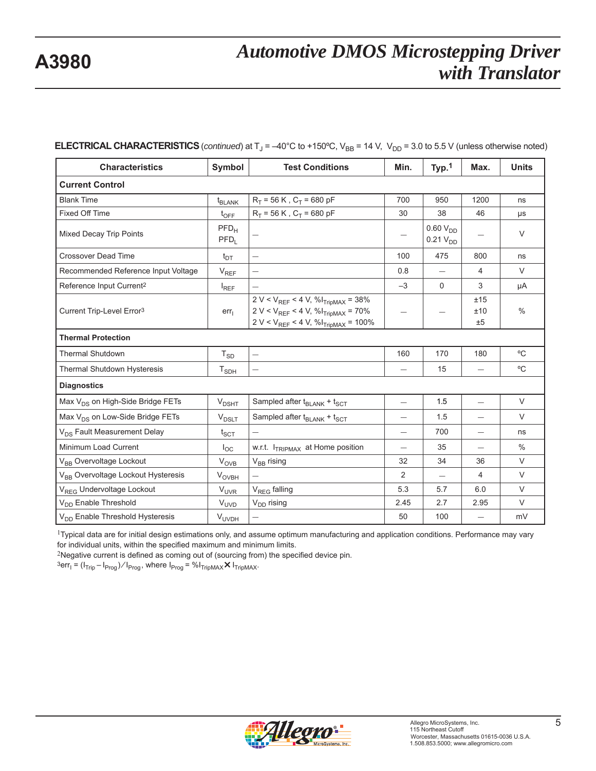| <b>Characteristics</b>                         | Symbol                      | <b>Test Conditions</b>                                                                                                                        | Min.                     | Typ. <sup>1</sup>                     | Max.                     | <b>Units</b> |
|------------------------------------------------|-----------------------------|-----------------------------------------------------------------------------------------------------------------------------------------------|--------------------------|---------------------------------------|--------------------------|--------------|
| <b>Current Control</b>                         |                             |                                                                                                                                               |                          |                                       |                          |              |
| <b>Blank Time</b>                              | <b>t<sub>BLANK</sub></b>    | $R_T$ = 56 K, $C_T$ = 680 pF                                                                                                                  | 700                      | 950                                   | 1200                     | ns           |
| <b>Fixed Off Time</b>                          | $t_{\text{OFF}}$            | $R_T$ = 56 K, $C_T$ = 680 pF                                                                                                                  | 30                       | 38                                    | 46                       | μs           |
| Mixed Decay Trip Points                        | PFD <sub>H</sub><br>$PFD_L$ |                                                                                                                                               |                          | $0.60 V_{DD}$<br>0.21 V <sub>DD</sub> |                          | $\vee$       |
| <b>Crossover Dead Time</b>                     | $t_{DT}$                    | -                                                                                                                                             | 100                      | 475                                   | 800                      | ns           |
| Recommended Reference Input Voltage            | $V_{REF}$                   |                                                                                                                                               | 0.8                      | $\overline{\phantom{0}}$              | 4                        | $\vee$       |
| Reference Input Current <sup>2</sup>           | $I_{REF}$                   | $\overline{\phantom{0}}$                                                                                                                      | $-3$                     | 0                                     | 3                        | μA           |
| Current Trip-Level Error <sup>3</sup>          | err <sub>1</sub>            | $2 V < V_{REF}$ < 4 V, % $I_{TripMAX}$ = 38%<br>$2 V < V_{REF}$ < 4 V, % $I_{TripMAX}$ = 70%<br>$2 V < V_{REF} < 4 V, \% I_{TripMAX} = 100\%$ | $\overline{\phantom{0}}$ |                                       | ±15<br>±10<br>±5         | $\%$         |
| <b>Thermal Protection</b>                      |                             |                                                                                                                                               |                          |                                       |                          |              |
| <b>Thermal Shutdown</b>                        | $T_{SD}$                    | —                                                                                                                                             | 160                      | 170                                   | 180                      | °C           |
| <b>Thermal Shutdown Hysteresis</b>             | $\mathsf{T}_{\mathsf{SDH}}$ | $\overline{\phantom{0}}$                                                                                                                      |                          | 15                                    |                          | °C           |
| <b>Diagnostics</b>                             |                             |                                                                                                                                               |                          |                                       |                          |              |
| Max V <sub>DS</sub> on High-Side Bridge FETs   | $V_{DSHT}$                  | Sampled after t <sub>BLANK</sub> + t <sub>SCT</sub>                                                                                           | $\equiv$                 | 1.5                                   | $\overline{\phantom{0}}$ | $\vee$       |
| Max V <sub>DS</sub> on Low-Side Bridge FETs    | $V_{DSLT}$                  | Sampled after $t_{BLANK} + t_{SCT}$                                                                                                           |                          | 1.5                                   |                          | $\vee$       |
| V <sub>DS</sub> Fault Measurement Delay        | ${\rm t}_{\rm SCT}$         | $\equiv$                                                                                                                                      | $\overline{\phantom{0}}$ | 700                                   | $\overline{\phantom{0}}$ | ns           |
| Minimum Load Current                           | $I_{\rm OC}$                | w.r.t. I <sub>TRIPMAX</sub> at Home position                                                                                                  | —                        | 35                                    |                          | $\%$         |
| V <sub>BB</sub> Overvoltage Lockout            | $V_{OVB}$                   | $V_{BB}$ rising                                                                                                                               | 32                       | 34                                    | 36                       | $\vee$       |
| V <sub>BB</sub> Overvoltage Lockout Hysteresis | $V_{\text{OVBH}}$           |                                                                                                                                               | 2                        | $\overline{\phantom{0}}$              | 4                        | $\vee$       |
| V <sub>REG</sub> Undervoltage Lockout          | $V_{UVR}$                   | V <sub>REG</sub> falling                                                                                                                      | 5.3                      | 5.7                                   | 6.0                      | $\vee$       |
| V <sub>DD</sub> Enable Threshold               | $V_{UVD}$                   | V <sub>DD</sub> rising                                                                                                                        | 2.45                     | 2.7                                   | 2.95                     | $\vee$       |
| V <sub>DD</sub> Enable Threshold Hysteresis    | <b>V<sub>UVDH</sub></b>     |                                                                                                                                               | 50                       | 100                                   | $\overline{\phantom{0}}$ | mV           |

#### **ELECTRICAL CHARACTERISTICS** (*continued*) at  $T_J = -40^{\circ}C$  to +150°C,  $V_{BB} = 14$  V,  $V_{DD} = 3.0$  to 5.5 V (unless otherwise noted)

1Typical data are for initial design estimations only, and assume optimum manufacturing and application conditions. Performance may vary for individual units, within the specified maximum and minimum limits.

 $2$ Negative current is defined as coming out of (sourcing from) the specified device pin.

 ${}^{3}$ err<sub>I</sub> = (I<sub>Trip</sub> – I<sub>Prog</sub>)/I<sub>Prog</sub>, where I<sub>Prog</sub> = %I<sub>TripMAX</sub>  $\times$  I<sub>TripMAX</sub>.

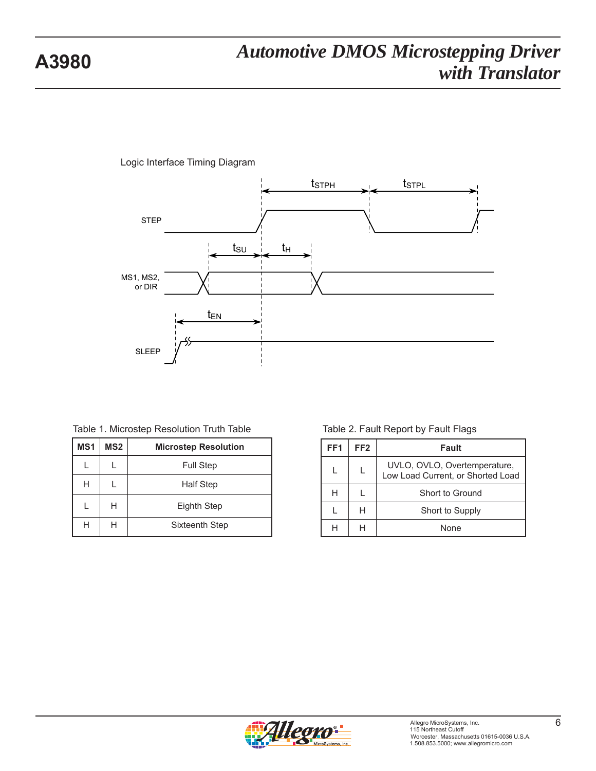

Logic Interface Timing Diagram

|  |  |  | Table 1. Microstep Resolution Truth Table |  |  |
|--|--|--|-------------------------------------------|--|--|
|--|--|--|-------------------------------------------|--|--|

| MS <sub>1</sub>       | MS <sub>2</sub> | <b>Microstep Resolution</b> |
|-----------------------|-----------------|-----------------------------|
|                       |                 | <b>Full Step</b>            |
| Н<br><b>Half Step</b> |                 |                             |
|                       | H               | Eighth Step                 |
|                       |                 | Sixteenth Step              |

#### Table 2. Fault Report by Fault Flags

| FF <sub>1</sub> | FF <sub>2</sub> | Fault                                                             |
|-----------------|-----------------|-------------------------------------------------------------------|
|                 |                 | UVLO, OVLO, Overtemperature,<br>Low Load Current, or Shorted Load |
| Н               |                 | Short to Ground                                                   |
|                 | н               | Short to Supply                                                   |
|                 |                 | None                                                              |

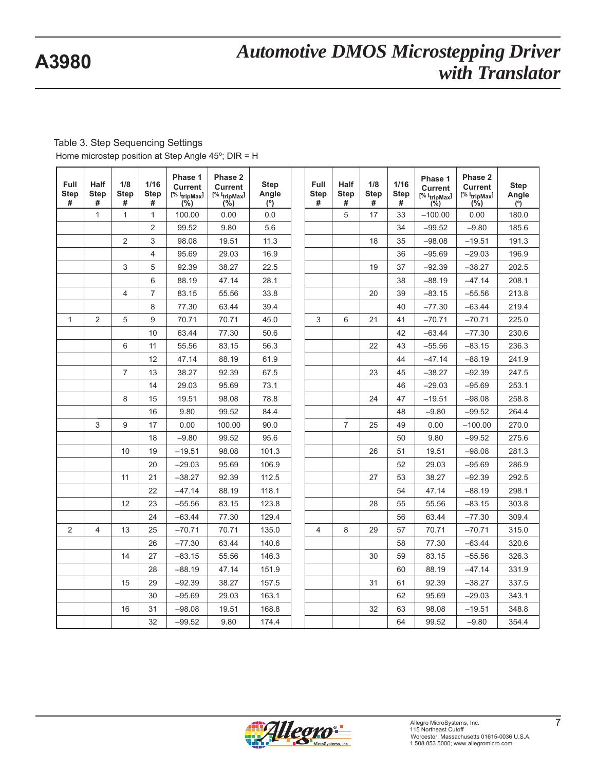Table 3. Step Sequencing Settings Home microstep position at Step Angle 45º; DIR = H

| Full<br><b>Step</b><br># | Half<br><b>Step</b><br># | 1/8<br><b>Step</b><br># | 1/16<br><b>Step</b><br># | Phase 1<br><b>Current</b><br>[% I <sub>tripMax</sub> ]<br>(%) | Phase 2<br>Current<br>$[% 1]$ <sub>tripMax</sub> ]<br>(%) | <b>Step</b><br>Angle<br>(°) | <b>Full</b><br><b>Step</b><br># | <b>Half</b><br><b>Step</b><br># | 1/8<br><b>Step</b><br># | $1/16$<br><b>Step</b><br># | Phase 1<br><b>Current</b><br>$[% \mathsf{l}_{\mathsf{tripMax}}]$<br>(%) | Phase 2<br><b>Current</b><br>$[% 1]$ <sub>tripMax</sub> ]<br>(%) | <b>Step</b><br>Angle<br>$\overline{(\overline{6})}$ |
|--------------------------|--------------------------|-------------------------|--------------------------|---------------------------------------------------------------|-----------------------------------------------------------|-----------------------------|---------------------------------|---------------------------------|-------------------------|----------------------------|-------------------------------------------------------------------------|------------------------------------------------------------------|-----------------------------------------------------|
|                          | $\mathbf{1}$             | $\mathbf{1}$            | $\mathbf{1}$             | 100.00                                                        | 0.00                                                      | 0.0                         |                                 | 5                               | 17                      | 33                         | $-100.00$                                                               | 0.00                                                             | 180.0                                               |
|                          |                          |                         | $\overline{2}$           | 99.52                                                         | 9.80                                                      | 5.6                         |                                 |                                 |                         | 34                         | $-99.52$                                                                | $-9.80$                                                          | 185.6                                               |
|                          |                          | $\overline{2}$          | 3                        | 98.08                                                         | 19.51                                                     | 11.3                        |                                 |                                 | 18                      | 35                         | $-98.08$                                                                | $-19.51$                                                         | 191.3                                               |
|                          |                          |                         | 4                        | 95.69                                                         | 29.03                                                     | 16.9                        |                                 |                                 |                         | 36                         | $-95.69$                                                                | $-29.03$                                                         | 196.9                                               |
|                          |                          | 3                       | 5                        | 92.39                                                         | 38.27                                                     | 22.5                        |                                 |                                 | 19                      | 37                         | $-92.39$                                                                | $-38.27$                                                         | 202.5                                               |
|                          |                          |                         | 6                        | 88.19                                                         | 47.14                                                     | 28.1                        |                                 |                                 |                         | 38                         | $-88.19$                                                                | $-47.14$                                                         | 208.1                                               |
|                          |                          | $\overline{4}$          | $\overline{7}$           | 83.15                                                         | 55.56                                                     | 33.8                        |                                 |                                 | 20                      | 39                         | $-83.15$                                                                | $-55.56$                                                         | 213.8                                               |
|                          |                          |                         | 8                        | 77.30                                                         | 63.44                                                     | 39.4                        |                                 |                                 |                         | 40                         | $-77.30$                                                                | $-63.44$                                                         | 219.4                                               |
| 1                        | $\overline{2}$           | 5                       | 9                        | 70.71                                                         | 70.71                                                     | 45.0                        | 3                               | 6                               | 21                      | 41                         | $-70.71$                                                                | $-70.71$                                                         | 225.0                                               |
|                          |                          |                         | 10                       | 63.44                                                         | 77.30                                                     | 50.6                        |                                 |                                 |                         | 42                         | $-63.44$                                                                | $-77.30$                                                         | 230.6                                               |
|                          |                          | 6                       | 11                       | 55.56                                                         | 83.15                                                     | 56.3                        |                                 |                                 | 22                      | 43                         | $-55.56$                                                                | $-83.15$                                                         | 236.3                                               |
|                          |                          |                         | 12                       | 47.14                                                         | 88.19                                                     | 61.9                        |                                 |                                 |                         | 44                         | $-47.14$                                                                | $-88.19$                                                         | 241.9                                               |
|                          |                          | $\overline{7}$          | 13                       | 38.27                                                         | 92.39                                                     | 67.5                        |                                 |                                 | 23                      | 45                         | $-38.27$                                                                | $-92.39$                                                         | 247.5                                               |
|                          |                          |                         | 14                       | 29.03                                                         | 95.69                                                     | 73.1                        |                                 |                                 |                         | 46                         | $-29.03$                                                                | $-95.69$                                                         | 253.1                                               |
|                          |                          | 8                       | 15                       | 19.51                                                         | 98.08                                                     | 78.8                        |                                 |                                 | 24                      | 47                         | $-19.51$                                                                | $-98.08$                                                         | 258.8                                               |
|                          |                          |                         | 16                       | 9.80                                                          | 99.52                                                     | 84.4                        |                                 |                                 |                         | 48                         | $-9.80$                                                                 | $-99.52$                                                         | 264.4                                               |
|                          | 3                        | 9                       | 17                       | 0.00                                                          | 100.00                                                    | 90.0                        |                                 | $\overline{7}$                  | 25                      | 49                         | 0.00                                                                    | $-100.00$                                                        | 270.0                                               |
|                          |                          |                         | 18                       | $-9.80$                                                       | 99.52                                                     | 95.6                        |                                 |                                 |                         | 50                         | 9.80                                                                    | $-99.52$                                                         | 275.6                                               |
|                          |                          | 10                      | 19                       | $-19.51$                                                      | 98.08                                                     | 101.3                       |                                 |                                 | 26                      | 51                         | 19.51                                                                   | $-98.08$                                                         | 281.3                                               |
|                          |                          |                         | 20                       | $-29.03$                                                      | 95.69                                                     | 106.9                       |                                 |                                 |                         | 52                         | 29.03                                                                   | $-95.69$                                                         | 286.9                                               |
|                          |                          | 11                      | 21                       | $-38.27$                                                      | 92.39                                                     | 112.5                       |                                 |                                 | 27                      | 53                         | 38.27                                                                   | $-92.39$                                                         | 292.5                                               |
|                          |                          |                         | 22                       | $-47.14$                                                      | 88.19                                                     | 118.1                       |                                 |                                 |                         | 54                         | 47.14                                                                   | $-88.19$                                                         | 298.1                                               |
|                          |                          | 12                      | 23                       | $-55.56$                                                      | 83.15                                                     | 123.8                       |                                 |                                 | 28                      | 55                         | 55.56                                                                   | $-83.15$                                                         | 303.8                                               |
|                          |                          |                         | 24                       | $-63.44$                                                      | 77.30                                                     | 129.4                       |                                 |                                 |                         | 56                         | 63.44                                                                   | $-77.30$                                                         | 309.4                                               |
| $\overline{2}$           | $\overline{4}$           | 13                      | 25                       | $-70.71$                                                      | 70.71                                                     | 135.0                       | 4                               | 8                               | 29                      | 57                         | 70.71                                                                   | $-70.71$                                                         | 315.0                                               |
|                          |                          |                         | 26                       | $-77.30$                                                      | 63.44                                                     | 140.6                       |                                 |                                 |                         | 58                         | 77.30                                                                   | $-63.44$                                                         | 320.6                                               |
|                          |                          | 14                      | 27                       | $-83.15$                                                      | 55.56                                                     | 146.3                       |                                 |                                 | 30                      | 59                         | 83.15                                                                   | $-55.56$                                                         | 326.3                                               |
|                          |                          |                         | 28                       | $-88.19$                                                      | 47.14                                                     | 151.9                       |                                 |                                 |                         | 60                         | 88.19                                                                   | $-47.14$                                                         | 331.9                                               |
|                          |                          | 15                      | 29                       | $-92.39$                                                      | 38.27                                                     | 157.5                       |                                 |                                 | 31                      | 61                         | 92.39                                                                   | $-38.27$                                                         | 337.5                                               |
|                          |                          |                         | 30                       | $-95.69$                                                      | 29.03                                                     | 163.1                       |                                 |                                 |                         | 62                         | 95.69                                                                   | $-29.03$                                                         | 343.1                                               |
|                          |                          | 16                      | 31                       | $-98.08$                                                      | 19.51                                                     | 168.8                       |                                 |                                 | 32                      | 63                         | 98.08                                                                   | $-19.51$                                                         | 348.8                                               |
|                          |                          |                         | 32                       | $-99.52$                                                      | 9.80                                                      | 174.4                       |                                 |                                 |                         | 64                         | 99.52                                                                   | $-9.80$                                                          | 354.4                                               |

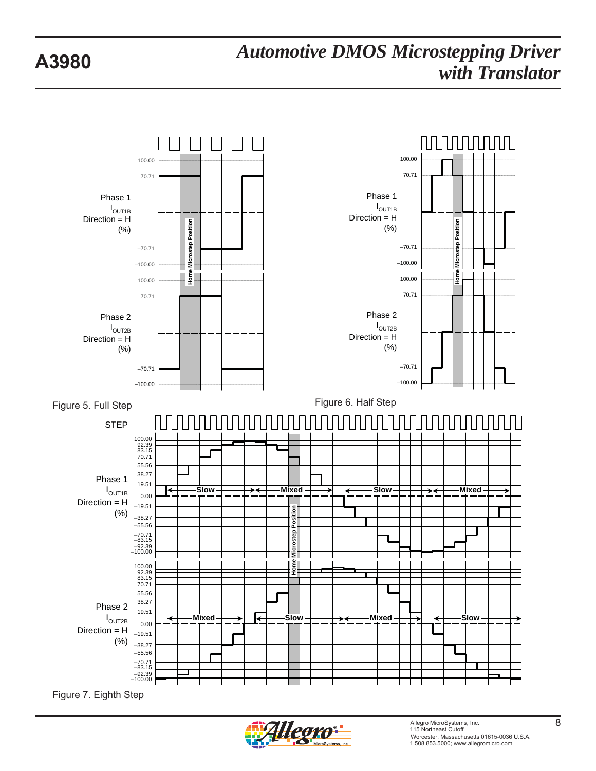

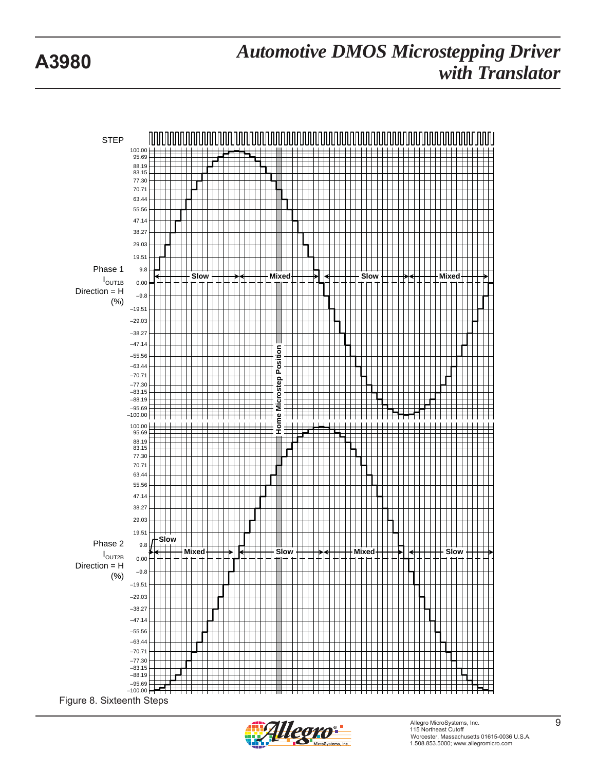

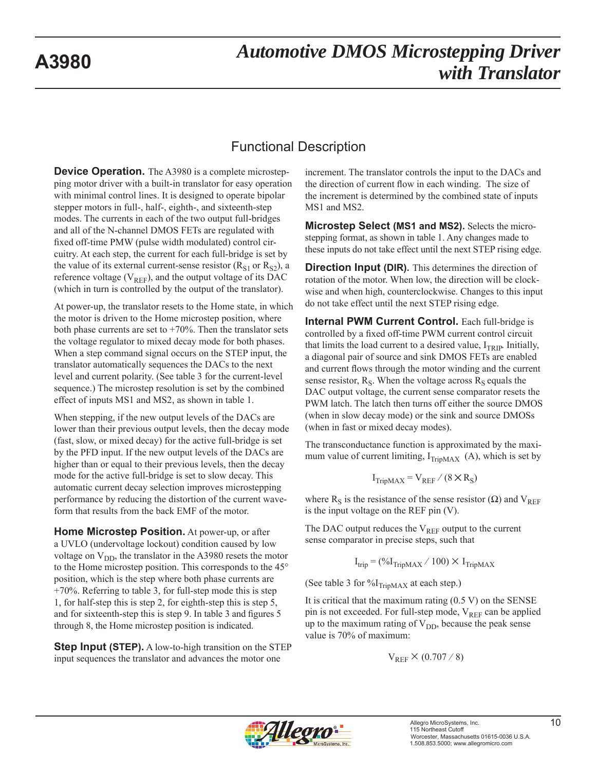### Functional Description

**Device Operation.** The A3980 is a complete microstepping motor driver with a built-in translator for easy operation with minimal control lines. It is designed to operate bipolar stepper motors in full-, half-, eighth-, and sixteenth-step modes. The currents in each of the two output full-bridges and all of the N-channel DMOS FETs are regulated with fixed off-time PMW (pulse width modulated) control circuitry. At each step, the current for each full-bridge is set by the value of its external current-sense resistor  $(R<sub>S1</sub>$  or  $R<sub>S2</sub>)$ , a reference voltage ( $V_{REF}$ ), and the output voltage of its DAC (which in turn is controlled by the output of the translator).

At power-up, the translator resets to the Home state, in which the motor is driven to the Home microstep position, where both phase currents are set to  $+70\%$ . Then the translator sets the voltage regulator to mixed decay mode for both phases. When a step command signal occurs on the STEP input, the translator automatically sequences the DACs to the next level and current polarity. (See table 3 for the current-level sequence.) The microstep resolution is set by the combined effect of inputs MS1 and MS2, as shown in table 1.

When stepping, if the new output levels of the DACs are lower than their previous output levels, then the decay mode (fast, slow, or mixed decay) for the active full-bridge is set by the PFD input. If the new output levels of the DACs are higher than or equal to their previous levels, then the decay mode for the active full-bridge is set to slow decay. This automatic current decay selection improves microstepping performance by reducing the distortion of the current waveform that results from the back EMF of the motor.

**Home Microstep Position.** At power-up, or after a UVLO (undervoltage lockout) condition caused by low voltage on  $V_{DD}$ , the translator in the A3980 resets the motor to the Home microstep position. This corresponds to the 45° position, which is the step where both phase currents are  $+70\%$ . Referring to table 3, for full-step mode this is step 1, for half-step this is step 2, for eighth-step this is step 5, and for sixteenth-step this is step 9. In table 3 and figures 5 through 8, the Home microstep position is indicated.

**Step Input (STEP).** A low-to-high transition on the STEP input sequences the translator and advances the motor one

increment. The translator controls the input to the DACs and the direction of current flow in each winding. The size of the increment is determined by the combined state of inputs MS1 and MS2.

**Microstep Select (MS1 and MS2).** Selects the microstepping format, as shown in table 1. Any changes made to these inputs do not take effect until the next STEP rising edge.

**Direction Input (DIR).** This determines the direction of rotation of the motor. When low, the direction will be clockwise and when high, counterclockwise. Changes to this input do not take effect until the next STEP rising edge.

**Internal PWM Current Control.** Each full-bridge is controlled by a fixed off-time PWM current control circuit that limits the load current to a desired value,  $I_{TRIP}$ . Initially, a diagonal pair of source and sink DMOS FETs are enabled and current flows through the motor winding and the current sense resistor,  $R_S$ . When the voltage across  $R_S$  equals the DAC output voltage, the current sense comparator resets the PWM latch. The latch then turns off either the source DMOS (when in slow decay mode) or the sink and source DMOSs (when in fast or mixed decay modes).

The transconductance function is approximated by the maximum value of current limiting,  $I_{TripMAX}$  (A), which is set by

$$
I_{TripMAX} = V_{REF} / (8 \times R_S)
$$

where R<sub>S</sub> is the resistance of the sense resistor ( $\Omega$ ) and V<sub>REF</sub> is the input voltage on the REF pin (V).

The DAC output reduces the  $V_{REF}$  output to the current sense comparator in precise steps, such that

$$
I_{trip} = (\%I_{TripMAX} / 100) \times I_{TripMAX}
$$

(See table 3 for  $\%$ I<sub>TripMAX</sub> at each step.)

It is critical that the maximum rating  $(0.5 V)$  on the SENSE pin is not exceeded. For full-step mode,  $V_{REF}$  can be applied up to the maximum rating of  $V_{DD}$ , because the peak sense value is 70% of maximum:

$$
V_{REF}\times(0.707\,/\,8)
$$

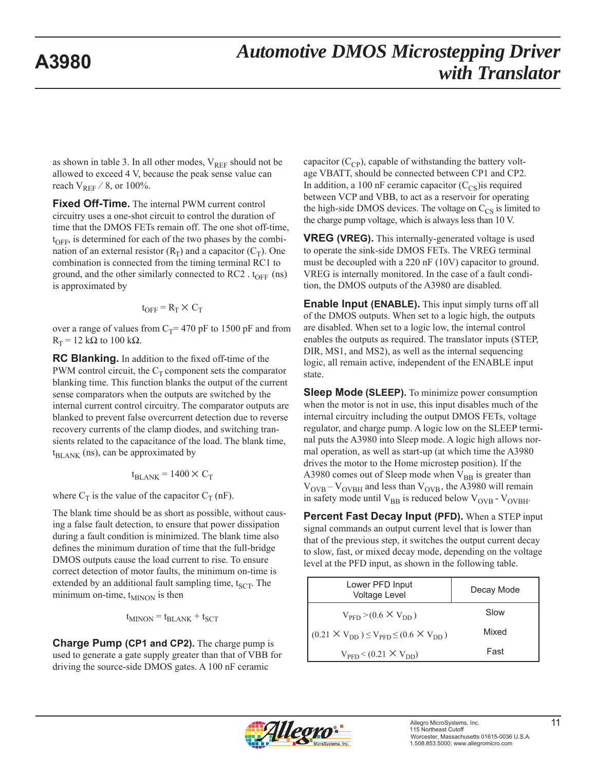as shown in table 3. In all other modes,  $V_{REF}$  should not be allowed to exceed 4 V, because the peak sense value can reach  $V_{REF}$  / 8, or 100%.

**Fixed Off-Time.** The internal PWM current control circuitry uses a one-shot circuit to control the duration of time that the DMOS FETs remain off. The one shot off-time,  $t_{\text{OFF}}$ , is determined for each of the two phases by the combination of an external resistor  $(R_T)$  and a capacitor  $(C_T)$ . One combination is connected from the timing terminal RC1 to ground, and the other similarly connected to RC2 .  $t_{\text{OFF}}$  (ns) is approximated by

$$
t_{\text{OFF}} = R_{\text{T}} \times C_{\text{T}}
$$

over a range of values from  $C_T$ = 470 pF to 1500 pF and from  $R_T = 12$  kΩ to 100 kΩ.

**RC Blanking.** In addition to the fixed off-time of the PWM control circuit, the  $C_T$  component sets the comparator blanking time. This function blanks the output of the current sense comparators when the outputs are switched by the internal current control circuitry. The comparator outputs are blanked to prevent false overcurrent detection due to reverse recovery currents of the clamp diodes, and switching transients related to the capacitance of the load. The blank time,  $t_{BLANK}$  (ns), can be approximated by

$$
t_{\text{BLANK}} = 1400 \times C_{\text{T}}
$$

where  $C_T$  is the value of the capacitor  $C_T$  (nF).

The blank time should be as short as possible, without causing a false fault detection, to ensure that power dissipation during a fault condition is minimized. The blank time also defines the minimum duration of time that the full-bridge DMOS outputs cause the load current to rise. To ensure correct detection of motor faults, the minimum on-time is extended by an additional fault sampling time,  $t_{SCT}$ . The minimum on-time,  $t_{MINON}$  is then

$$
t_{MINON} = t_{BLANK} + t_{SCT}
$$

**Charge Pump (CP1 and CP2).** The charge pump is used to generate a gate supply greater than that of VBB for driving the source-side DMOS gates. A 100 nF ceramic

capacitor  $(C_{\text{CP}})$ , capable of withstanding the battery voltage VBATT, should be connected between CP1 and CP2. In addition, a 100 nF ceramic capacitor  $(C_{\text{CS}})$ is required between VCP and VBB, to act as a reservoir for operating the high-side DMOS devices. The voltage on  $C_{CS}$  is limited to the charge pump voltage, which is always less than 10 V.

**VREG (VREG).** This internally-generated voltage is used to operate the sink-side DMOS FETs. The VREG terminal must be decoupled with a 220 nF (10V) capacitor to ground. VREG is internally monitored. In the case of a fault condition, the DMOS outputs of the A3980 are disabled.

**Enable Input (ENABLE).** This input simply turns off all of the DMOS outputs. When set to a logic high, the outputs are disabled. When set to a logic low, the internal control enables the outputs as required. The translator inputs (STEP, DIR, MS1, and MS2), as well as the internal sequencing logic, all remain active, independent of the ENABLE input state.

**Sleep Mode (SLEEP).** To minimize power consumption when the motor is not in use, this input disables much of the internal circuitry including the output DMOS FETs, voltage regulator, and charge pump. A logic low on the SLEEP terminal puts the A3980 into Sleep mode. A logic high allows normal operation, as well as start-up (at which time the A3980 drives the motor to the Home microstep position). If the A3980 comes out of Sleep mode when  $V_{BB}$  is greater than  $V_{\text{OVB}} - V_{\text{OVBH}}$  and less than  $V_{\text{OVB}}$ , the A3980 will remain in safety mode until  $V_{BB}$  is reduced below  $V_{OVB}$  -  $V_{OVBH}$ .

**Percent Fast Decay Input (PFD).** When a STEP input signal commands an output current level that is lower than that of the previous step, it switches the output current decay to slow, fast, or mixed decay mode, depending on the voltage level at the PFD input, as shown in the following table.

| Lower PFD Input<br><b>Voltage Level</b>                    | Decay Mode |
|------------------------------------------------------------|------------|
| $V_{\text{PFD}}$ > (0.6 $\times$ V <sub>DD</sub> )         | Slow       |
| $(0.21 \times V_{DD}) \le V_{PFD} \le (0.6 \times V_{DD})$ | Mixed      |
| $V_{\text{PFD}}$ < (0.21 $\times$ $V_{\text{DD}}$ )        | Fast       |

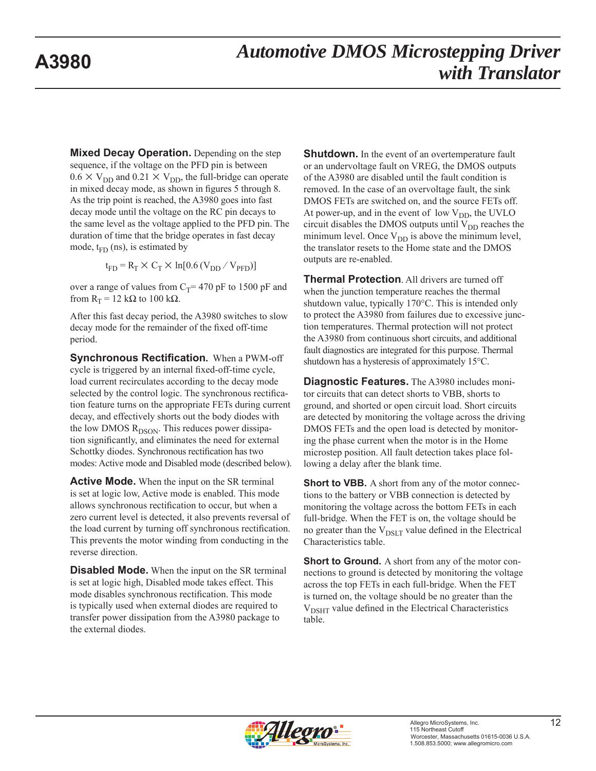**Mixed Decay Operation.** Depending on the step sequence, if the voltage on the PFD pin is between  $0.6 \times V_{DD}$  and  $0.21 \times V_{DD}$ , the full-bridge can operate in mixed decay mode, as shown in figures 5 through 8. As the trip point is reached, the A3980 goes into fast decay mode until the voltage on the RC pin decays to the same level as the voltage applied to the PFD pin. The duration of time that the bridge operates in fast decay mode,  $t_{FD}$  (ns), is estimated by

 $t_{FD} = R_T \times C_T \times ln[0.6 (V_{DD} / V_{PFD})]$ 

over a range of values from  $C_T$ = 470 pF to 1500 pF and from  $R_T = 12$  kΩ to 100 kΩ.

After this fast decay period, the A3980 switches to slow decay mode for the remainder of the fixed off-time period.

**Synchronous Rectification.** When a PWM-off cycle is triggered by an internal fixed-off-time cycle, load current recirculates according to the decay mode selected by the control logic. The synchronous rectification feature turns on the appropriate FETs during current decay, and effectively shorts out the body diodes with the low DMOS  $R_{DSON}$ . This reduces power dissipation significantly, and eliminates the need for external Schottky diodes. Synchronous rectification has two modes: Active mode and Disabled mode (described below).

**Active Mode.** When the input on the SR terminal is set at logic low, Active mode is enabled. This mode allows synchronous rectification to occur, but when a zero current level is detected, it also prevents reversal of the load current by turning off synchronous rectification. This prevents the motor winding from conducting in the reverse direction.

**Disabled Mode.** When the input on the SR terminal is set at logic high, Disabled mode takes effect. This mode disables synchronous rectification. This mode is typically used when external diodes are required to transfer power dissipation from the A3980 package to the external diodes.

**Shutdown.** In the event of an overtemperature fault or an undervoltage fault on VREG, the DMOS outputs of the A3980 are disabled until the fault condition is removed. In the case of an overvoltage fault, the sink DMOS FETs are switched on, and the source FETs off. At power-up, and in the event of low  $V_{DD}$ , the UVLO circuit disables the DMOS outputs until  $V_{DD}$  reaches the minimum level. Once  $V_{DD}$  is above the minimum level, the translator resets to the Home state and the DMOS outputs are re-enabled.

**Thermal Protection**. All drivers are turned off when the junction temperature reaches the thermal shutdown value, typically  $170^{\circ}$ C. This is intended only to protect the A3980 from failures due to excessive junction temperatures. Thermal protection will not protect the A3980 from continuous short circuits, and additional fault diagnostics are integrated for this purpose. Thermal shutdown has a hysteresis of approximately  $15^{\circ}$ C.

**Diagnostic Features.** The A3980 includes monitor circuits that can detect shorts to VBB, shorts to ground, and shorted or open circuit load. Short circuits are detected by monitoring the voltage across the driving DMOS FETs and the open load is detected by monitoring the phase current when the motor is in the Home microstep position. All fault detection takes place following a delay after the blank time.

**Short to VBB.** A short from any of the motor connections to the battery or VBB connection is detected by monitoring the voltage across the bottom FETs in each full-bridge. When the FET is on, the voltage should be no greater than the  $V_{DSLT}$  value defined in the Electrical Characteristics table.

**Short to Ground.** A short from any of the motor connections to ground is detected by monitoring the voltage across the top FETs in each full-bridge. When the FET is turned on, the voltage should be no greater than the  $V_{DSHT}$  value defined in the Electrical Characteristics table.

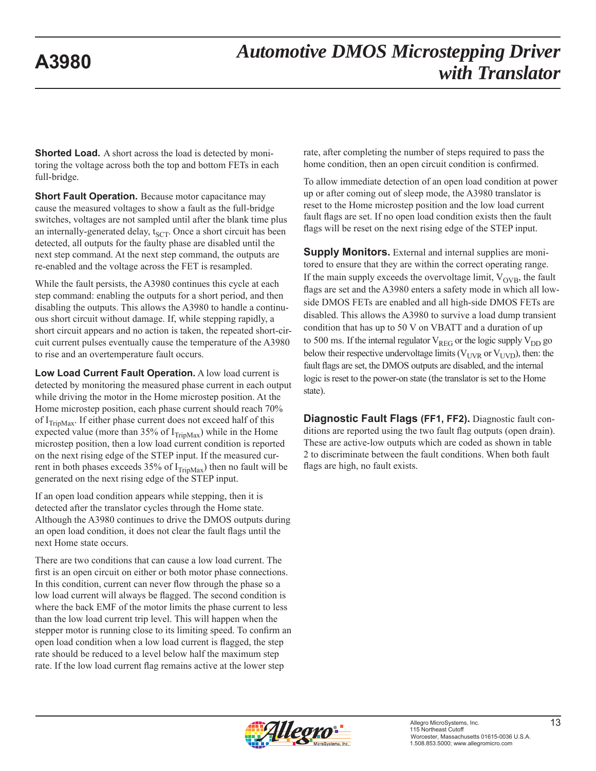**Shorted Load.** A short across the load is detected by monitoring the voltage across both the top and bottom FETs in each full-bridge.

**Short Fault Operation.** Because motor capacitance may cause the measured voltages to show a fault as the full-bridge switches, voltages are not sampled until after the blank time plus an internally-generated delay,  $t_{SCT}$ . Once a short circuit has been detected, all outputs for the faulty phase are disabled until the next step command. At the next step command, the outputs are re-enabled and the voltage across the FET is resampled.

While the fault persists, the A3980 continues this cycle at each step command: enabling the outputs for a short period, and then disabling the outputs. This allows the A3980 to handle a continuous short circuit without damage. If, while stepping rapidly, a short circuit appears and no action is taken, the repeated short-circuit current pulses eventually cause the temperature of the A3980 to rise and an overtemperature fault occurs.

**Low Load Current Fault Operation.** A low load current is detected by monitoring the measured phase current in each output while driving the motor in the Home microstep position. At the Home microstep position, each phase current should reach 70% of  $I_{TriMax}$ . If either phase current does not exceed half of this expected value (more than 35% of  $I_{TripMax}$ ) while in the Home microstep position, then a low load current condition is reported on the next rising edge of the STEP input. If the measured current in both phases exceeds 35% of  $I_{TriMax}$ ) then no fault will be generated on the next rising edge of the STEP input.

If an open load condition appears while stepping, then it is detected after the translator cycles through the Home state. Although the A3980 continues to drive the DMOS outputs during an open load condition, it does not clear the fault flags until the next Home state occurs.

There are two conditions that can cause a low load current. The first is an open circuit on either or both motor phase connections. In this condition, current can never flow through the phase so a low load current will always be flagged. The second condition is where the back EMF of the motor limits the phase current to less than the low load current trip level. This will happen when the stepper motor is running close to its limiting speed. To confirm an open load condition when a low load current is flagged, the step rate should be reduced to a level below half the maximum step rate. If the low load current flag remains active at the lower step

rate, after completing the number of steps required to pass the home condition, then an open circuit condition is confirmed.

To allow immediate detection of an open load condition at power up or after coming out of sleep mode, the A3980 translator is reset to the Home microstep position and the low load current fault flags are set. If no open load condition exists then the fault flags will be reset on the next rising edge of the STEP input.

**Supply Monitors.** External and internal supplies are monitored to ensure that they are within the correct operating range. If the main supply exceeds the overvoltage limit,  $V_{OVB}$ , the fault flags are set and the A3980 enters a safety mode in which all lowside DMOS FETs are enabled and all high-side DMOS FETs are disabled. This allows the A3980 to survive a load dump transient condition that has up to 50 V on VBATT and a duration of up to 500 ms. If the internal regulator  $V_{REG}$  or the logic supply  $V_{DD}$  go below their respective undervoltage limits ( $V_{UVR}$  or  $V_{UVD}$ ), then: the fault flags are set, the DMOS outputs are disabled, and the internal logic is reset to the power-on state (the translator is set to the Home state).

**Diagnostic Fault Flags (FF1, FF2).** Diagnostic fault conditions are reported using the two fault flag outputs (open drain). These are active-low outputs which are coded as shown in table 2 to discriminate between the fault conditions. When both fault flags are high, no fault exists.

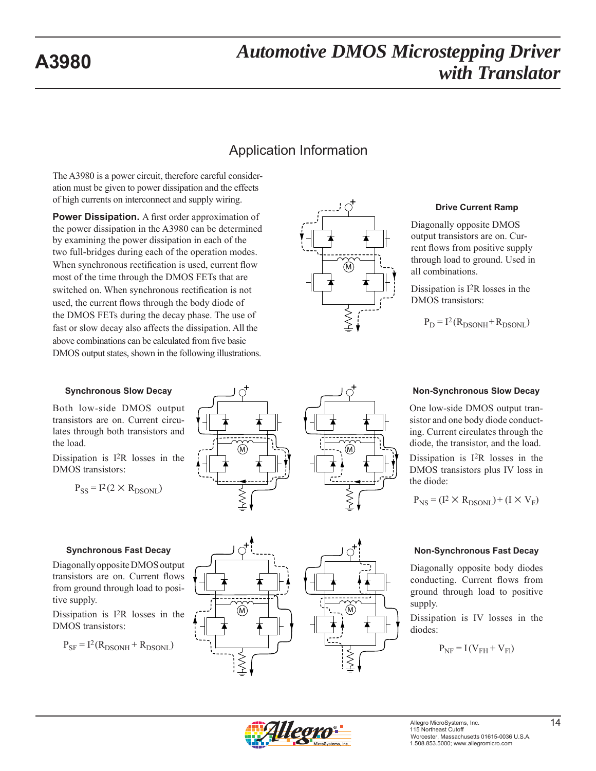### Application Information

The A3980 is a power circuit, therefore careful consideration must be given to power dissipation and the effects of high currents on interconnect and supply wiring.

**Power Dissipation.** A first order approximation of the power dissipation in the A3980 can be determined by examining the power dissipation in each of the two full-bridges during each of the operation modes. When synchronous rectification is used, current flow most of the time through the DMOS FETs that are switched on. When synchronous rectification is not used, the current flows through the body diode of the DMOS FETs during the decay phase. The use of fast or slow decay also affects the dissipation. All the above combinations can be calculated from five basic DMOS output states, shown in the following illustrations.



M

 $\ddot{\tau}$ 

#### **Drive Current Ramp**

Diagonally opposite DMOS output transistors are on. Current flows from positive supply through load to ground. Used in all combinations.

Dissipation is I2R losses in the DMOS transistors:

 $P_D = I^2 (R_{DSONH} + R_{DSONL})$ 

#### **Synchronous Slow Decay**

Both low-side DMOS output transistors are on. Current circulates through both transistors and the load.

Dissipation is I2R losses in the DMOS transistors:

$$
P_{SS} = I^2 (2 \times R_{DSONL})
$$

#### **Synchronous Fast Decay**

Diagonally opposite DMOS output transistors are on. Current flows from ground through load to positive supply.

Dissipation is I2R losses in the DMOS transistors:

$$
P_{SF} = I^2 (R_{DSONH} + R_{DSONL})
$$



#### **Non-Synchronous Slow Decay**

One low-side DMOS output transistor and one body diode conducting. Current circulates through the diode, the transistor, and the load.

Dissipation is I2R losses in the DMOS transistors plus IV loss in the diode:

$$
P_{NS} = (I^2 \times R_{DSONL}) + (I \times V_F)
$$



Diagonally opposite body diodes conducting. Current flows from ground through load to positive supply.

Dissipation is IV losses in the diodes:

$$
P_{NF} = I(V_{FH} + V_{Fl})
$$



M

 $\ddagger$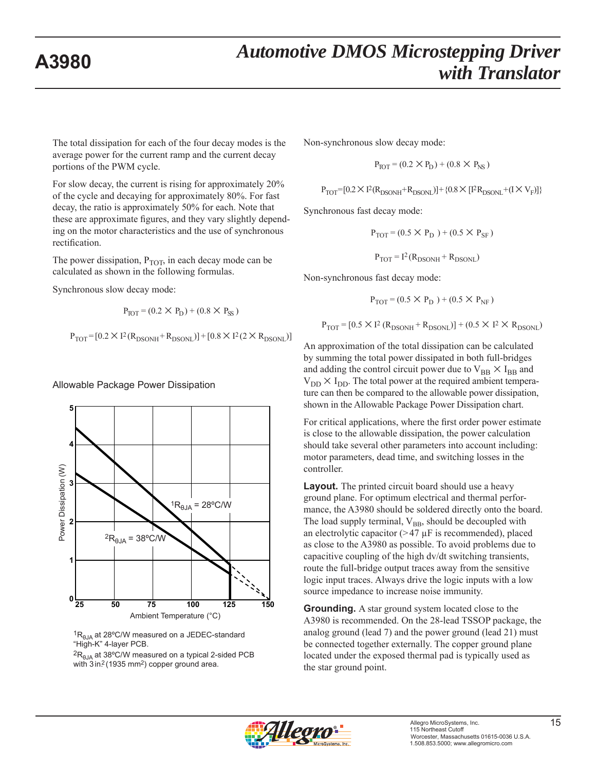The total dissipation for each of the four decay modes is the average power for the current ramp and the current decay portions of the PWM cycle.

For slow decay, the current is rising for approximately 20% of the cycle and decaying for approximately 80%. For fast decay, the ratio is approximately 50% for each. Note that these are approximate figures, and they vary slightly depending on the motor characteristics and the use of synchronous rectification.

The power dissipation,  $P_{TOT}$ , in each decay mode can be calculated as shown in the following formulas.

Synchronous slow decay mode:

$$
P_{TOT} = (0.2 \times P_D) + (0.8 \times P_{SS})
$$

 $P_{TOT}$  = [0.2 × I<sup>2</sup> (R<sub>DSONH</sub> + R<sub>DSONL</sub>)] + [0.8 × I<sup>2</sup> (2 × R<sub>DSONL</sub>)]

Allowable Package Power Dissipation





 ${}^{2}R_{BIA}$  at 38°C/W measured on a typical 2-sided PCB with 3 in<sup>2</sup> (1935 mm<sup>2</sup>) copper ground area.

Non-synchronous slow decay mode:

$$
P_{TOT} = (0.2 \times P_D) + (0.8 \times P_{NS})
$$

$$
P_{TOT}{=}[0.2\times\mathrm{I}^2(R_{DSONH}{+}R_{DSONL})]{+}\left\{0.8\times\mathrm{[I}^2R_{DSONL}{+}(I\times V_F)]\right\}
$$

Synchronous fast decay mode:

$$
P_{TOT} = (0.5 \times P_D) + (0.5 \times P_{SF})
$$

 $P_{TOT} = I^2 (R_{DSONH} + R_{DSONL})$ 

Non-synchronous fast decay mode:

$$
P_{TOT} = (0.5 \times P_D) + (0.5 \times P_{NF})
$$

 $P_{TOT} = [0.5 \times I^2 (R_{DSONH} + R_{DSONL})] + (0.5 \times I^2 \times R_{DSONL})$ 

An approximation of the total dissipation can be calculated by summing the total power dissipated in both full-bridges and adding the control circuit power due to  $V_{BB} \times I_{BB}$  and  $V_{DD} \times I_{DD}$ . The total power at the required ambient temperature can then be compared to the allowable power dissipation, shown in the Allowable Package Power Dissipation chart.

For critical applications, where the first order power estimate is close to the allowable dissipation, the power calculation should take several other parameters into account including: motor parameters, dead time, and switching losses in the controller.

**Layout.** The printed circuit board should use a heavy ground plane. For optimum electrical and thermal performance, the A3980 should be soldered directly onto the board. The load supply terminal,  $V_{BB}$ , should be decoupled with an electrolytic capacitor  $(>47 \mu$ F is recommended), placed as close to the A3980 as possible. To avoid problems due to capacitive coupling of the high dv/dt switching transients, route the full-bridge output traces away from the sensitive logic input traces. Always drive the logic inputs with a low source impedance to increase noise immunity.

**Grounding.** A star ground system located close to the A3980 is recommended. On the 28-lead TSSOP package, the analog ground (lead 7) and the power ground (lead 21) must be connected together externally. The copper ground plane located under the exposed thermal pad is typically used as the star ground point.

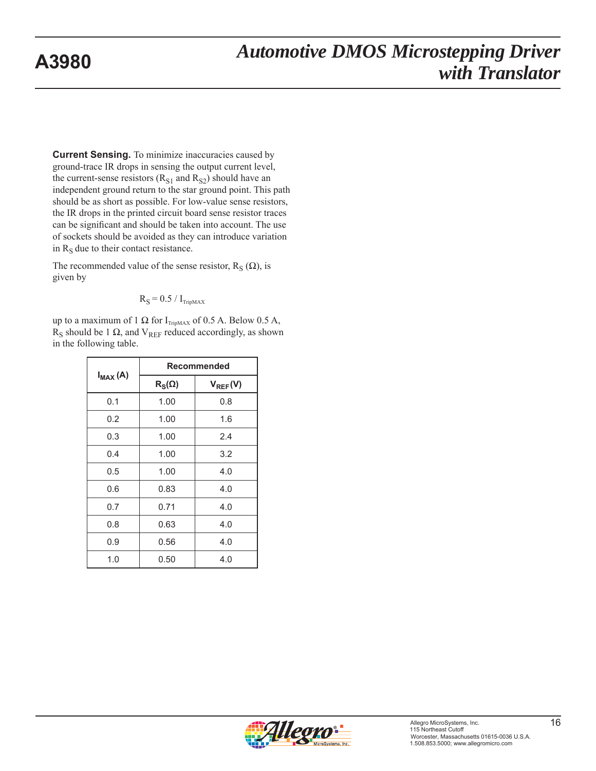**Current Sensing.** To minimize inaccuracies caused by ground-trace IR drops in sensing the output current level, the current-sense resistors  $(R<sub>S1</sub>$  and  $R<sub>S2</sub>$ ) should have an independent ground return to the star ground point. This path should be as short as possible. For low-value sense resistors, the IR drops in the printed circuit board sense resistor traces can be significant and should be taken into account. The use of sockets should be avoided as they can introduce variation in  $R<sub>S</sub>$  due to their contact resistance.

The recommended value of the sense resistor,  $R_S(\Omega)$ , is given by

$$
R_S = 0.5 / I_{\text{TripMAX}}
$$

up to a maximum of 1 Ω for  $I_{TripMAX}$  of 0.5 A. Below 0.5 A,  $R<sub>S</sub>$  should be 1  $\Omega$ , and V<sub>REF</sub> reduced accordingly, as shown in the following table.

|              | Recommended   |              |  |  |  |  |
|--------------|---------------|--------------|--|--|--|--|
| $I_{MAX}(A)$ | $R_S(\Omega)$ | $V_{REF}(V)$ |  |  |  |  |
| 0.1          | 1.00          | 0.8          |  |  |  |  |
| 0.2          | 1.00          | 1.6          |  |  |  |  |
| 0.3          | 1.00          | 2.4          |  |  |  |  |
| 0.4          | 1.00          | 3.2          |  |  |  |  |
| 0.5          | 1.00          | 4.0          |  |  |  |  |
| 0.6          | 0.83          | 4.0          |  |  |  |  |
| 0.7          | 0.71          | 4.0          |  |  |  |  |
| 0.8          | 0.63          | 4.0          |  |  |  |  |
| 0.9          | 0.56          | 4.0          |  |  |  |  |
| 1.0          | 0.50          | 4.0          |  |  |  |  |

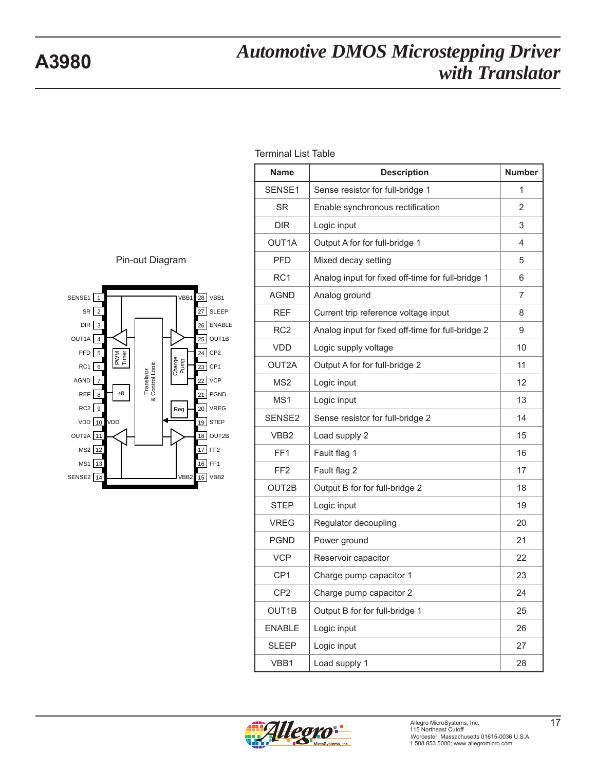

| <b>Name</b>        | <b>Description</b>                                | <b>Number</b> |
|--------------------|---------------------------------------------------|---------------|
| SENSE1             | Sense resistor for full-bridge 1                  | 1             |
| <b>SR</b>          | Enable synchronous rectification                  | 2             |
| <b>DIR</b>         | Logic input                                       | 3             |
| OUT <sub>1</sub> A | Output A for for full-bridge 1                    | 4             |
| <b>PFD</b>         | Mixed decay setting                               | 5             |
| RC <sub>1</sub>    | Analog input for fixed off-time for full-bridge 1 | 6             |
| <b>AGND</b>        | Analog ground                                     | 7             |
| <b>REF</b>         | Current trip reference voltage input              | 8             |
| RC <sub>2</sub>    | Analog input for fixed off-time for full-bridge 2 | 9             |
| <b>VDD</b>         | Logic supply voltage                              | 10            |
| OUT2A              | Output A for for full-bridge 2                    | 11            |
| MS <sub>2</sub>    | Logic input                                       | 12            |
| MS1                | Logic input                                       | 13            |
| SENSE2             | Sense resistor for full-bridge 2                  | 14            |
| VBB2               | Load supply 2                                     | 15            |
| FF <sub>1</sub>    | Fault flag 1                                      | 16            |
| FF <sub>2</sub>    | Fault flag 2                                      | 17            |
| OUT2B              | Output B for for full-bridge 2                    | 18            |
| <b>STEP</b>        | Logic input                                       | 19            |
| <b>VREG</b>        | Regulator decoupling                              | 20            |
| <b>PGND</b>        | Power ground                                      | 21            |
| <b>VCP</b>         | Reservoir capacitor                               | 22            |
| CP <sub>1</sub>    | Charge pump capacitor 1                           | 23            |
| CP <sub>2</sub>    | Charge pump capacitor 2                           | 24            |
| OUT1B              | Output B for for full-bridge 1                    | 25            |
| <b>ENABLE</b>      | Logic input                                       | 26            |
| <b>SLEEP</b>       | Logic input                                       | 27            |
| VBB1               | Load supply 1                                     | 28            |

Terminal List Table